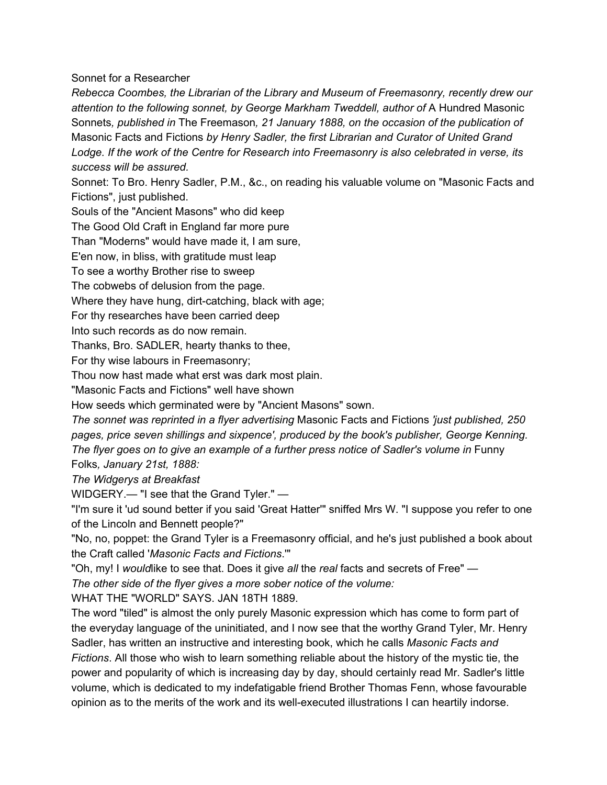Sonnet for a Researcher

*Rebecca Coombes, the Librarian of the Library and Museum of Freemasonry, recently drew our attention to the following sonnet, by George Markham Tweddell, author of* A Hundred Masonic Sonnets*, published in* The Freemason*, 21 January 1888, on the occasion of the publication of* Masonic Facts and Fictions *by Henry Sadler, the first Librarian and Curator of United Grand Lodge. If the work of the Centre for Research into Freemasonry is also celebrated in verse, its success will be assured.*

Sonnet: To Bro. Henry Sadler, P.M., &c., on reading his valuable volume on "Masonic Facts and Fictions", just published.

Souls of the "Ancient Masons" who did keep

The Good Old Craft in England far more pure

Than "Moderns" would have made it, I am sure,

E'en now, in bliss, with gratitude must leap

To see a worthy Brother rise to sweep

The cobwebs of delusion from the page.

Where they have hung, dirt-catching, black with age;

For thy researches have been carried deep

Into such records as do now remain.

Thanks, Bro. SADLER, hearty thanks to thee,

For thy wise labours in Freemasonry;

Thou now hast made what erst was dark most plain.

"Masonic Facts and Fictions" well have shown

How seeds which germinated were by "Ancient Masons" sown.

*The sonnet was reprinted in a flyer advertising* Masonic Facts and Fictions *'just published, 250 pages, price seven shillings and sixpence', produced by the book's publisher, George Kenning. The flyer goes on to give an example of a further press notice of Sadler's volume in* Funny

Folks*, January 21st, 1888:*

*The Widgerys at Breakfast*

WIDGERY.— "I see that the Grand Tyler." —

"I'm sure it 'ud sound better if you said 'Great Hatter'" sniffed Mrs W. "I suppose you refer to one of the Lincoln and Bennett people?"

"No, no, poppet: the Grand Tyler is a Freemasonry official, and he's just published a book about the Craft called '*Masonic Facts and Fictions*.'"

"Oh, my! I *would*like to see that. Does it give *all* the *real* facts and secrets of Free" —

*The other side of the flyer gives a more sober notice of the volume:*

WHAT THE "WORLD" SAYS. JAN 18TH 1889.

The word "tiled" is almost the only purely Masonic expression which has come to form part of the everyday language of the uninitiated, and I now see that the worthy Grand Tyler, Mr. Henry Sadler, has written an instructive and interesting book, which he calls *Masonic Facts and Fictions*. All those who wish to learn something reliable about the history of the mystic tie, the power and popularity of which is increasing day by day, should certainly read Mr. Sadler's little volume, which is dedicated to my indefatigable friend Brother Thomas Fenn, whose favourable opinion as to the merits of the work and its well-executed illustrations I can heartily indorse.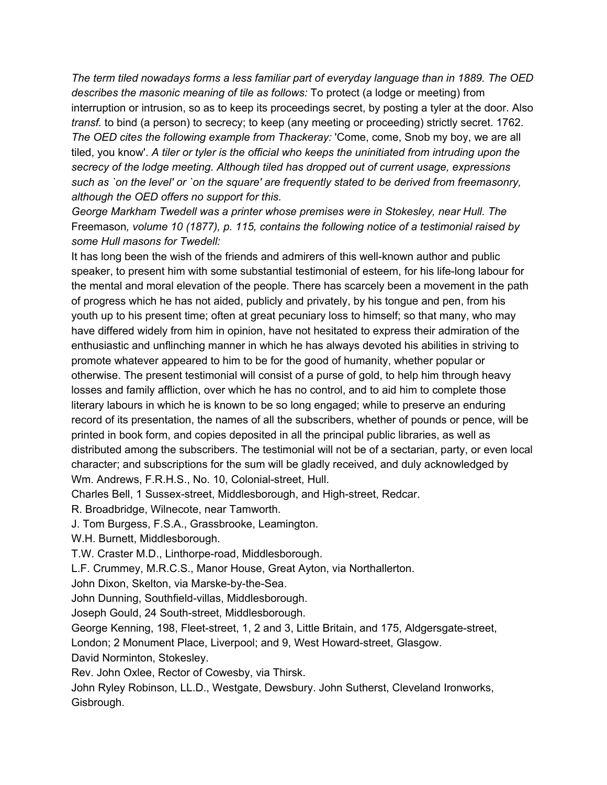*The term tiled nowadays forms a less familiar part of everyday language than in 1889. The OED describes the masonic meaning of tile as follows:* To protect (a lodge or meeting) from interruption or intrusion, so as to keep its proceedings secret, by posting a tyler at the door. Also *transf.* to bind (a person) to secrecy; to keep (any meeting or proceeding) strictly secret. 1762. *The OED cites the following example from Thackeray:* 'Come, come, Snob my boy, we are all tiled, you know'. *A tiler or tyler is the official who keeps the uninitiated from intruding upon the secrecy of the lodge meeting. Although tiled has dropped out of current usage, expressions such as `on the level' or `on the square' are frequently stated to be derived from freemasonry, although the OED offers no support for this.*

*George Markham Twedell was a printer whose premises were in Stokesley, near Hull. The* Freemason*, volume 10 (1877), p. 115, contains the following notice of a testimonial raised by some Hull masons for Twedell:*

It has long been the wish of the friends and admirers of this well-known author and public speaker, to present him with some substantial testimonial of esteem, for his life-long labour for the mental and moral elevation of the people. There has scarcely been a movement in the path of progress which he has not aided, publicly and privately, by his tongue and pen, from his youth up to his present time; often at great pecuniary loss to himself; so that many, who may have differed widely from him in opinion, have not hesitated to express their admiration of the enthusiastic and unflinching manner in which he has always devoted his abilities in striving to promote whatever appeared to him to be for the good of humanity, whether popular or otherwise. The present testimonial will consist of a purse of gold, to help him through heavy losses and family affliction, over which he has no control, and to aid him to complete those literary labours in which he is known to be so long engaged; while to preserve an enduring record of its presentation, the names of all the subscribers, whether of pounds or pence, will be printed in book form, and copies deposited in all the principal public libraries, as well as distributed among the subscribers. The testimonial will not be of a sectarian, party, or even local character; and subscriptions for the sum will be gladly received, and duly acknowledged by Wm. Andrews, F.R.H.S., No. 10, Colonial-street, Hull.

Charles Bell, 1 Sussex-street, Middlesborough, and High-street, Redcar.

R. Broadbridge, Wilnecote, near Tamworth.

J. Tom Burgess, F.S.A., Grassbrooke, Leamington.

W.H. Burnett, Middlesborough.

T.W. Craster M.D., Linthorpe-road, Middlesborough.

L.F. Crummey, M.R.C.S., Manor House, Great Ayton, via Northallerton.

John Dixon, Skelton, via Marske-by-the-Sea.

John Dunning, Southfield-villas, Middlesborough.

Joseph Gould, 24 South-street, Middlesborough.

George Kenning, 198, Fleet-street, 1, 2 and 3, Little Britain, and 175, Aldgersgate-street,

London; 2 Monument Place, Liverpool; and 9, West Howard-street, Glasgow.

David Norminton, Stokesley.

Rev. John Oxlee, Rector of Cowesby, via Thirsk.

John Ryley Robinson, LL.D., Westgate, Dewsbury. John Sutherst, Cleveland Ironworks, Gisbrough.